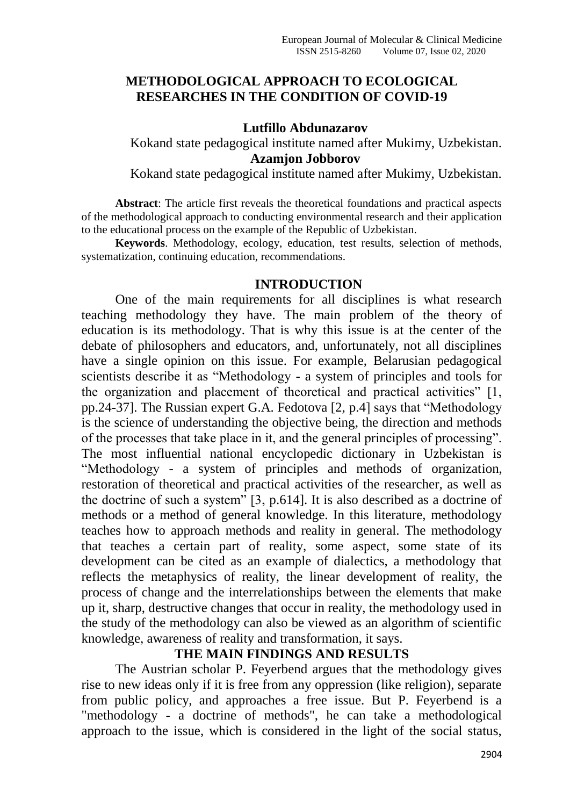#### **METHODOLOGICAL APPROACH TO ECOLOGICAL RESEARCHES IN THE CONDITION OF COVID-19**

#### **Lutfillo Abdunazarov**

Kokand state pedagogical institute named after Mukimy, Uzbekistan. **Azamjon Jobborov**

Kokand state pedagogical institute named after Mukimy, Uzbekistan.

**Abstract**: The article first reveals the theoretical foundations and practical aspects of the methodological approach to conducting environmental research and their application to the educational process on the example of the Republic of Uzbekistan.

**Keywords**. Methodology, ecology, education, test results, selection of methods, systematization, continuing education, recommendations.

#### **INTRODUCTION**

One of the main requirements for all disciplines is what research teaching methodology they have. The main problem of the theory of education is its methodology. That is why this issue is at the center of the debate of philosophers and educators, and, unfortunately, not all disciplines have a single opinion on this issue. For example, Belarusian pedagogical scientists describe it as "Methodology - a system of principles and tools for the organization and placement of theoretical and practical activities"  $[1, 1]$ pp. 24-37]. The Russian expert G.A. Fedotova  $[2, p.4]$  says that "Methodology" is the science of understanding the objective being, the direction and methods of the processes that take place in it, and the general principles of processing". The most influential national encyclopedic dictionary in Uzbekistan is ―Methodology - a system of principles and methods of organization, restoration of theoretical and practical activities of the researcher, as well as the doctrine of such a system<sup>3</sup> [3, p.614]. It is also described as a doctrine of methods or a method of general knowledge. In this literature, methodology teaches how to approach methods and reality in general. The methodology that teaches a certain part of reality, some aspect, some state of its development can be cited as an example of dialectics, a methodology that reflects the metaphysics of reality, the linear development of reality, the process of change and the interrelationships between the elements that make up it, sharp, destructive changes that occur in reality, the methodology used in the study of the methodology can also be viewed as an algorithm of scientific knowledge, awareness of reality and transformation, it says.

# **THE MAIN FINDINGS AND RESULTS**

The Austrian scholar P. Feyerbend argues that the methodology gives rise to new ideas only if it is free from any oppression (like religion), separate from public policy, and approaches a free issue. But P. Feyerbend is a "methodology - a doctrine of methods", he can take a methodological approach to the issue, which is considered in the light of the social status,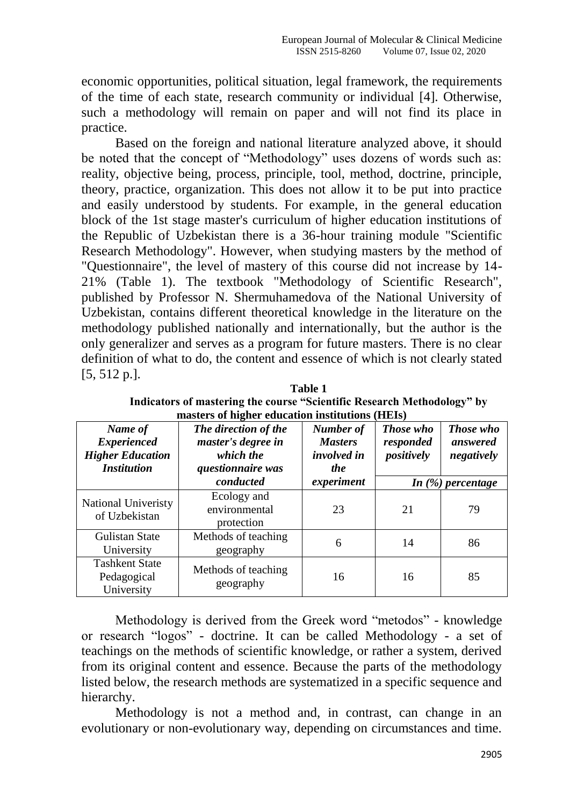economic opportunities, political situation, legal framework, the requirements of the time of each state, research community or individual [4]. Otherwise, such a methodology will remain on paper and will not find its place in practice.

Based on the foreign and national literature analyzed above, it should be noted that the concept of "Methodology" uses dozens of words such as: reality, objective being, process, principle, tool, method, doctrine, principle, theory, practice, organization. This does not allow it to be put into practice and easily understood by students. For example, in the general education block of the 1st stage master's curriculum of higher education institutions of the Republic of Uzbekistan there is a 36-hour training module "Scientific Research Methodology". However, when studying masters by the method of "Questionnaire", the level of mastery of this course did not increase by 14- 21% (Table 1). The textbook "Methodology of Scientific Research", published by Professor N. Shermuhamedova of the National University of Uzbekistan, contains different theoretical knowledge in the literature on the methodology published nationally and internationally, but the author is the only generalizer and serves as a program for future masters. There is no clear definition of what to do, the content and essence of which is not clearly stated [5, 512 p.].

| Name of<br><b>Experienced</b><br><b>Higher Education</b><br><b>Institution</b> | The direction of the<br>master's degree in<br>which the<br><i>questionnaire was</i> | Number of<br><b>Masters</b><br><i>involved in</i><br><i>the</i> | <b>Those who</b><br>responded<br>positively | <b>Those who</b><br>answered<br>negatively |
|--------------------------------------------------------------------------------|-------------------------------------------------------------------------------------|-----------------------------------------------------------------|---------------------------------------------|--------------------------------------------|
|                                                                                | conducted                                                                           | experiment                                                      |                                             | In $(\%)$ percentage                       |
| <b>National Univeristy</b><br>of Uzbekistan                                    | Ecology and<br>environmental<br>protection                                          | 23                                                              | 21                                          | 79                                         |
| <b>Gulistan State</b><br>University                                            | Methods of teaching<br>geography                                                    | 6                                                               | 14                                          | 86                                         |
| <b>Tashkent State</b><br>Pedagogical<br>University                             | Methods of teaching<br>geography                                                    | 16                                                              | 16                                          | 85                                         |

| Table 1                                                                 |  |  |  |
|-------------------------------------------------------------------------|--|--|--|
| Indicators of mastering the course "Scientific Research Methodology" by |  |  |  |
| masters of higher education institutions (HEIs)                         |  |  |  |

Methodology is derived from the Greek word "metodos" - knowledge or research "logos" - doctrine. It can be called Methodology - a set of teachings on the methods of scientific knowledge, or rather a system, derived from its original content and essence. Because the parts of the methodology listed below, the research methods are systematized in a specific sequence and hierarchy.

Methodology is not a method and, in contrast, can change in an evolutionary or non-evolutionary way, depending on circumstances and time.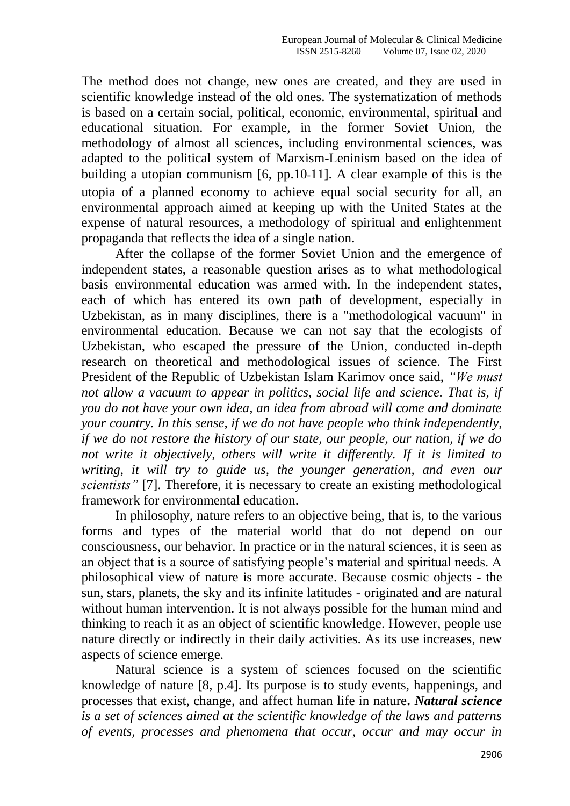The method does not change, new ones are created, and they are used in scientific knowledge instead of the old ones. The systematization of methods is based on a certain social, political, economic, environmental, spiritual and educational situation. For example, in the former Soviet Union, the methodology of almost all sciences, including environmental sciences, was adapted to the political system of Marxism-Leninism based on the idea of building a utopian communism [6, pp.10-11]. A clear example of this is the utopia of a planned economy to achieve equal social security for all, an environmental approach aimed at keeping up with the United States at the expense of natural resources, a methodology of spiritual and enlightenment propaganda that reflects the idea of a single nation.

After the collapse of the former Soviet Union and the emergence of independent states, a reasonable question arises as to what methodological basis environmental education was armed with. In the independent states, each of which has entered its own path of development, especially in Uzbekistan, as in many disciplines, there is a "methodological vacuum" in environmental education. Because we can not say that the ecologists of Uzbekistan, who escaped the pressure of the Union, conducted in-depth research on theoretical and methodological issues of science. The First President of the Republic of Uzbekistan Islam Karimov once said, *"We must not allow a vacuum to appear in politics, social life and science. That is, if you do not have your own idea, an idea from abroad will come and dominate your country. In this sense, if we do not have people who think independently, if we do not restore the history of our state, our people, our nation, if we do not write it objectively, others will write it differently. If it is limited to writing, it will try to guide us, the younger generation, and even our scientists"* [7]. Therefore, it is necessary to create an existing methodological framework for environmental education.

In philosophy, nature refers to an objective being, that is, to the various forms and types of the material world that do not depend on our consciousness, our behavior. In practice or in the natural sciences, it is seen as an object that is a source of satisfying people's material and spiritual needs. A philosophical view of nature is more accurate. Because cosmic objects - the sun, stars, planets, the sky and its infinite latitudes - originated and are natural without human intervention. It is not always possible for the human mind and thinking to reach it as an object of scientific knowledge. However, people use nature directly or indirectly in their daily activities. As its use increases, new aspects of science emerge.

Natural science is a system of sciences focused on the scientific knowledge of nature [8, p.4]. Its purpose is to study events, happenings, and processes that exist, change, and affect human life in nature**.** *Natural science is a set of sciences aimed at the scientific knowledge of the laws and patterns of events, processes and phenomena that occur, occur and may occur in*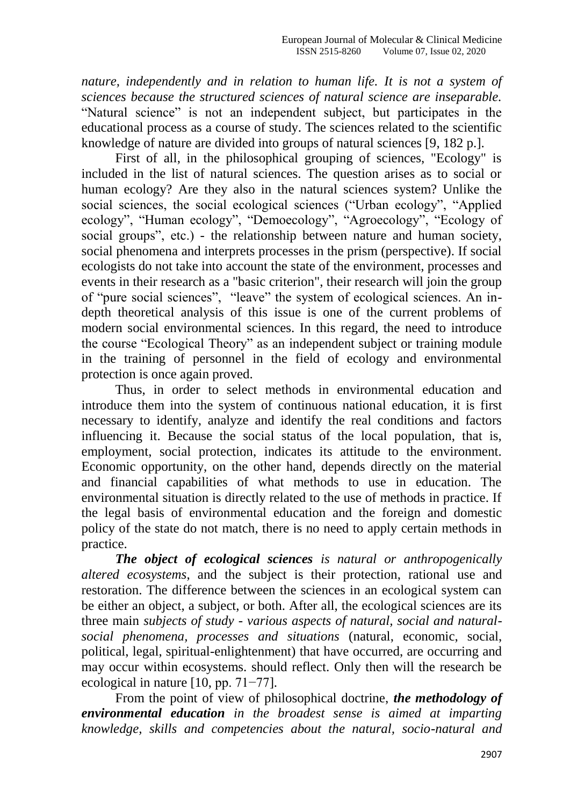*nature, independently and in relation to human life. It is not a system of sciences because the structured sciences of natural science are inseparable.* "Natural science" is not an independent subject, but participates in the educational process as a course of study. The sciences related to the scientific knowledge of nature are divided into groups of natural sciences [9, 182 p.].

First of all, in the philosophical grouping of sciences, "Ecology" is included in the list of natural sciences. The question arises as to social or human ecology? Are they also in the natural sciences system? Unlike the social sciences, the social ecological sciences ("Urban ecology", "Applied ecology", "Human ecology", "Demoecology", "Agroecology", "Ecology of social groups", etc.) - the relationship between nature and human society, social phenomena and interprets processes in the prism (perspective). If social ecologists do not take into account the state of the environment, processes and events in their research as a "basic criterion", their research will join the group of "pure social sciences", "leave" the system of ecological sciences. An indepth theoretical analysis of this issue is one of the current problems of modern social environmental sciences. In this regard, the need to introduce the course "Ecological Theory" as an independent subject or training module in the training of personnel in the field of ecology and environmental protection is once again proved.

Thus, in order to select methods in environmental education and introduce them into the system of continuous national education, it is first necessary to identify, analyze and identify the real conditions and factors influencing it. Because the social status of the local population, that is, employment, social protection, indicates its attitude to the environment. Economic opportunity, on the other hand, depends directly on the material and financial capabilities of what methods to use in education. The environmental situation is directly related to the use of methods in practice. If the legal basis of environmental education and the foreign and domestic policy of the state do not match, there is no need to apply certain methods in practice.

*The object of ecological sciences is natural or anthropogenically altered ecosystems*, and the subject is their protection, rational use and restoration. The difference between the sciences in an ecological system can be either an object, a subject, or both. After all, the ecological sciences are its three main *subjects of study - various aspects of natural, social and naturalsocial phenomena, processes and situations* (natural, economic, social, political, legal, spiritual-enlightenment) that have occurred, are occurring and may occur within ecosystems. should reflect. Only then will the research be ecological in nature [10, pp. 71−77].

From the point of view of philosophical doctrine, *the methodology of environmental education in the broadest sense is aimed at imparting knowledge, skills and competencies about the natural, socio-natural and*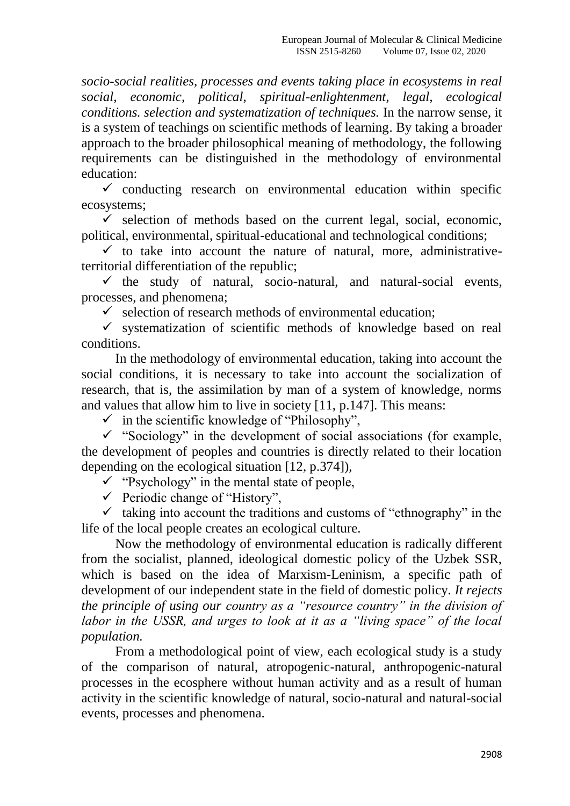*socio-social realities, processes and events taking place in ecosystems in real social, economic, political, spiritual-enlightenment, legal, ecological conditions. selection and systematization of techniques.* In the narrow sense, it is a system of teachings on scientific methods of learning. By taking a broader approach to the broader philosophical meaning of methodology, the following requirements can be distinguished in the methodology of environmental education:

 $\checkmark$  conducting research on environmental education within specific ecosystems;

 $\checkmark$  selection of methods based on the current legal, social, economic, political, environmental, spiritual-educational and technological conditions;

 $\checkmark$  to take into account the nature of natural, more, administrativeterritorial differentiation of the republic;

 $\checkmark$  the study of natural, socio-natural, and natural-social events, processes, and phenomena;

 $\checkmark$  selection of research methods of environmental education;

 $\checkmark$  systematization of scientific methods of knowledge based on real conditions.

In the methodology of environmental education, taking into account the social conditions, it is necessary to take into account the socialization of research, that is, the assimilation by man of a system of knowledge, norms and values that allow him to live in society [11, p.147]. This means:

 $\checkmark$  in the scientific knowledge of "Philosophy",

 $\checkmark$  "Sociology" in the development of social associations (for example, the development of peoples and countries is directly related to their location depending on the ecological situation [12, p.374]),

 $\checkmark$  "Psychology" in the mental state of people,

 $\checkmark$  Periodic change of "History".

 $\checkmark$  taking into account the traditions and customs of "ethnography" in the life of the local people creates an ecological culture.

Now the methodology of environmental education is radically different from the socialist, planned, ideological domestic policy of the Uzbek SSR, which is based on the idea of Marxism-Leninism, a specific path of development of our independent state in the field of domestic policy*. It rejects the principle of using our country as a "resource country" in the division of labor in the USSR, and urges to look at it as a "living space" of the local population.*

From a methodological point of view, each ecological study is a study of the comparison of natural, atropogenic-natural, anthropogenic-natural processes in the ecosphere without human activity and as a result of human activity in the scientific knowledge of natural, socio-natural and natural-social events, processes and phenomena.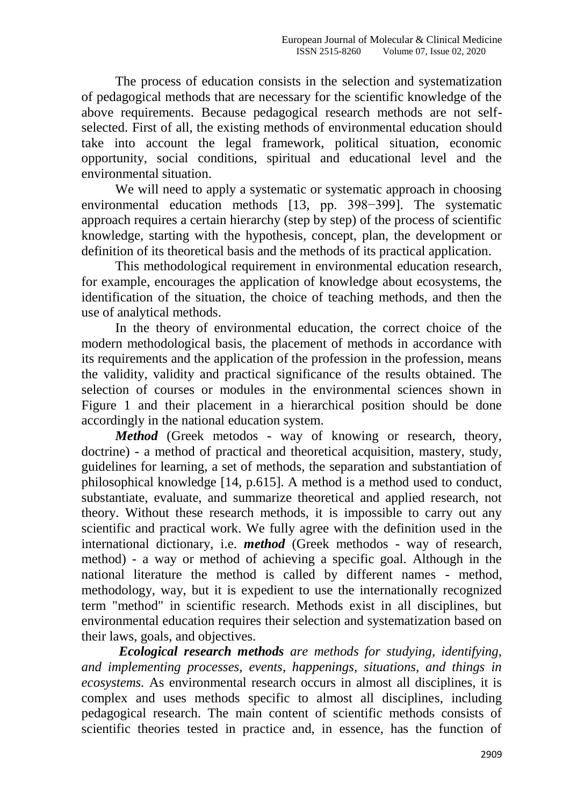The process of education consists in the selection and systematization of pedagogical methods that are necessary for the scientific knowledge of the above requirements. Because pedagogical research methods are not selfselected. First of all, the existing methods of environmental education should take into account the legal framework, political situation, economic opportunity, social conditions, spiritual and educational level and the environmental situation.

We will need to apply a systematic or systematic approach in choosing environmental education methods [13, pp. 398−399]. The systematic approach requires a certain hierarchy (step by step) of the process of scientific knowledge, starting with the hypothesis, concept, plan, the development or definition of its theoretical basis and the methods of its practical application.

This methodological requirement in environmental education research, for example, encourages the application of knowledge about ecosystems, the identification of the situation, the choice of teaching methods, and then the use of analytical methods.

In the theory of environmental education, the correct choice of the modern methodological basis, the placement of methods in accordance with its requirements and the application of the profession in the profession, means the validity, validity and practical significance of the results obtained. The selection of courses or modules in the environmental sciences shown in Figure 1 and their placement in a hierarchical position should be done accordingly in the national education system.

*Method* (Greek metodos - way of knowing or research, theory, doctrine) - a method of practical and theoretical acquisition, mastery, study, guidelines for learning, a set of methods, the separation and substantiation of philosophical knowledge [14, p.615]. A method is a method used to conduct, substantiate, evaluate, and summarize theoretical and applied research, not theory. Without these research methods, it is impossible to carry out any scientific and practical work. We fully agree with the definition used in the international dictionary, i.e. *method* (Greek methodos - way of research, method) - a way or method of achieving a specific goal. Although in the national literature the method is called by different names - method, methodology, way, but it is expedient to use the internationally recognized term "method" in scientific research. Methods exist in all disciplines, but environmental education requires their selection and systematization based on their laws, goals, and objectives.

*Ecological research methods are methods for studying, identifying, and implementing processes, events, happenings, situations, and things in ecosystems.* As environmental research occurs in almost all disciplines, it is complex and uses methods specific to almost all disciplines, including pedagogical research. The main content of scientific methods consists of scientific theories tested in practice and, in essence, has the function of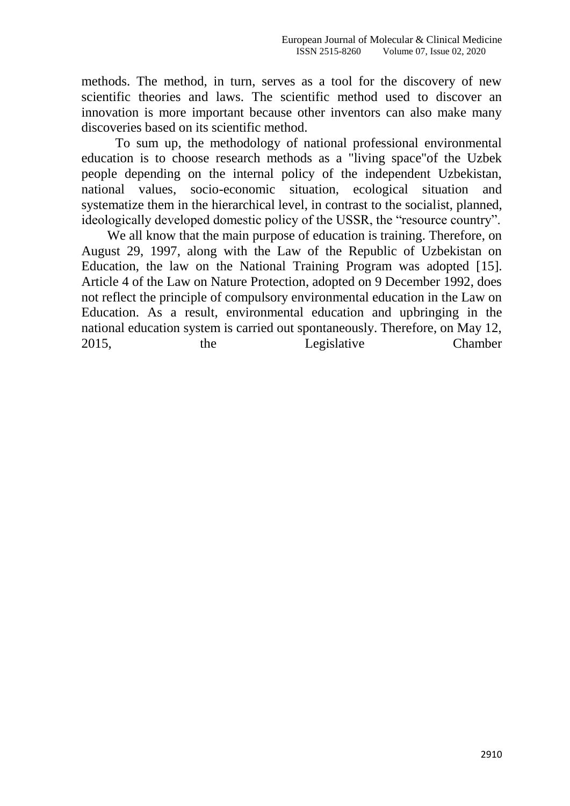methods. The method, in turn, serves as a tool for the discovery of new scientific theories and laws. The scientific method used to discover an innovation is more important because other inventors can also make many discoveries based on its scientific method.

To sum up, the methodology of national professional environmental education is to choose research methods as a "living space"of the Uzbek people depending on the internal policy of the independent Uzbekistan, national values, socio-economic situation, ecological situation and systematize them in the hierarchical level, in contrast to the socialist, planned, ideologically developed domestic policy of the USSR, the "resource country".

We all know that the main purpose of education is training. Therefore, on August 29, 1997, along with the Law of the Republic of Uzbekistan on Education, the law on the National Training Program was adopted [15]. Article 4 of the Law on Nature Protection, adopted on 9 December 1992, does not reflect the principle of compulsory environmental education in the Law on Education. As a result, environmental education and upbringing in the national education system is carried out spontaneously. Therefore, on May 12, 2015, the Legislative Chamber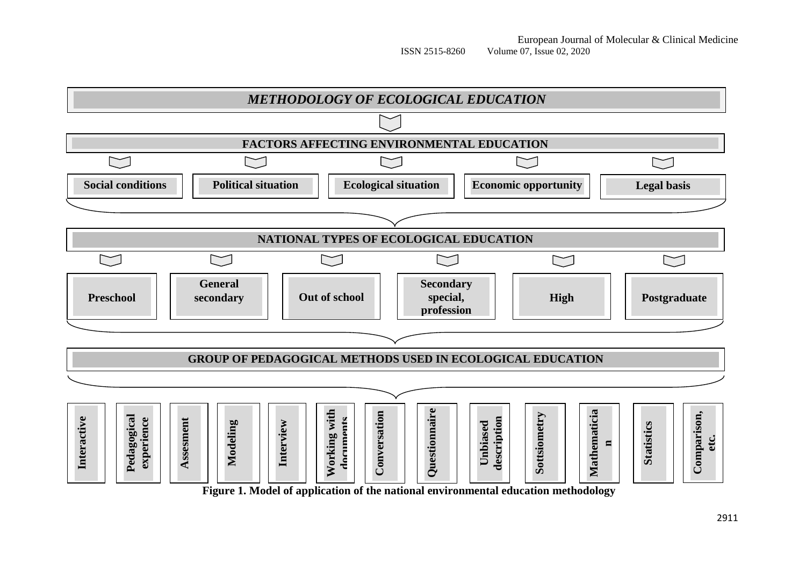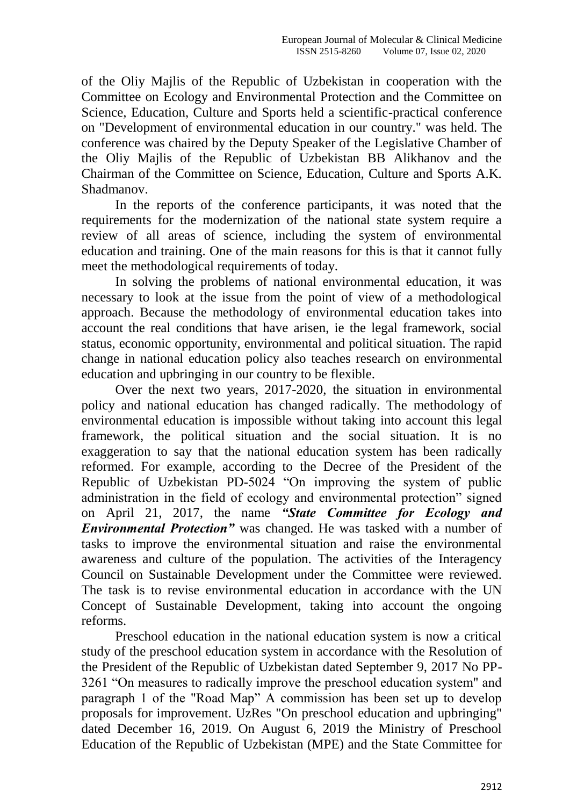of the Oliy Majlis of the Republic of Uzbekistan in cooperation with the Committee on Ecology and Environmental Protection and the Committee on Science, Education, Culture and Sports held a scientific-practical conference on "Development of environmental education in our country." was held. The conference was chaired by the Deputy Speaker of the Legislative Chamber of the Oliy Majlis of the Republic of Uzbekistan BB Alikhanov and the Chairman of the Committee on Science, Education, Culture and Sports A.K. Shadmanov.

In the reports of the conference participants, it was noted that the requirements for the modernization of the national state system require a review of all areas of science, including the system of environmental education and training. One of the main reasons for this is that it cannot fully meet the methodological requirements of today.

In solving the problems of national environmental education, it was necessary to look at the issue from the point of view of a methodological approach. Because the methodology of environmental education takes into account the real conditions that have arisen, ie the legal framework, social status, economic opportunity, environmental and political situation. The rapid change in national education policy also teaches research on environmental education and upbringing in our country to be flexible.

Over the next two years, 2017-2020, the situation in environmental policy and national education has changed radically. The methodology of environmental education is impossible without taking into account this legal framework, the political situation and the social situation. It is no exaggeration to say that the national education system has been radically reformed. For example, according to the Decree of the President of the Republic of Uzbekistan PD-5024 "On improving the system of public administration in the field of ecology and environmental protection" signed on April 21, 2017, the name *"State Committee for Ecology and Environmental Protection"* was changed. He was tasked with a number of tasks to improve the environmental situation and raise the environmental awareness and culture of the population. The activities of the Interagency Council on Sustainable Development under the Committee were reviewed. The task is to revise environmental education in accordance with the UN Concept of Sustainable Development, taking into account the ongoing reforms.

Preschool education in the national education system is now a critical study of the preschool education system in accordance with the Resolution of the President of the Republic of Uzbekistan dated September 9, 2017 No PP-3261 "On measures to radically improve the preschool education system" and paragraph 1 of the "Road Map" A commission has been set up to develop proposals for improvement. UzRes "On preschool education and upbringing" dated December 16, 2019. On August 6, 2019 the Ministry of Preschool Education of the Republic of Uzbekistan (MPE) and the State Committee for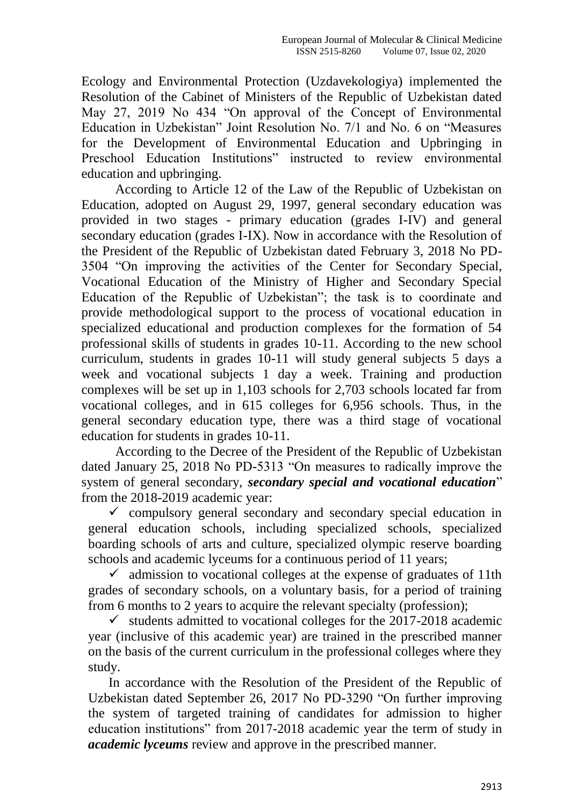Ecology and Environmental Protection (Uzdavekologiya) implemented the Resolution of the Cabinet of Ministers of the Republic of Uzbekistan dated May 27, 2019 No 434 "On approval of the Concept of Environmental Education in Uzbekistan" Joint Resolution No. 7/1 and No. 6 on "Measures" for the Development of Environmental Education and Upbringing in Preschool Education Institutions" instructed to review environmental education and upbringing.

According to Article 12 of the Law of the Republic of Uzbekistan on Education, adopted on August 29, 1997, general secondary education was provided in two stages - primary education (grades I-IV) and general secondary education (grades I-IX). Now in accordance with the Resolution of the President of the Republic of Uzbekistan dated February 3, 2018 No PD-3504 "On improving the activities of the Center for Secondary Special, Vocational Education of the Ministry of Higher and Secondary Special Education of the Republic of Uzbekistan"; the task is to coordinate and provide methodological support to the process of vocational education in specialized educational and production complexes for the formation of 54 professional skills of students in grades 10-11. According to the new school curriculum, students in grades 10-11 will study general subjects 5 days a week and vocational subjects 1 day a week. Training and production complexes will be set up in 1,103 schools for 2,703 schools located far from vocational colleges, and in 615 colleges for 6,956 schools. Thus, in the general secondary education type, there was a third stage of vocational education for students in grades 10-11.

According to the Decree of the President of the Republic of Uzbekistan dated January 25, 2018 No PD-5313 "On measures to radically improve the system of general secondary, *secondary special and vocational education*" from the 2018-2019 academic year:

 $\checkmark$  compulsory general secondary and secondary special education in general education schools, including specialized schools, specialized boarding schools of arts and culture, specialized olympic reserve boarding schools and academic lyceums for a continuous period of 11 years;

 $\checkmark$  admission to vocational colleges at the expense of graduates of 11th grades of secondary schools, on a voluntary basis, for a period of training from 6 months to 2 years to acquire the relevant specialty (profession);

 $\checkmark$  students admitted to vocational colleges for the 2017-2018 academic year (inclusive of this academic year) are trained in the prescribed manner on the basis of the current curriculum in the professional colleges where they study.

In accordance with the Resolution of the President of the Republic of Uzbekistan dated September 26, 2017 No PD-3290 "On further improving the system of targeted training of candidates for admission to higher education institutions" from 2017-2018 academic year the term of study in *academic lyceums* review and approve in the prescribed manner.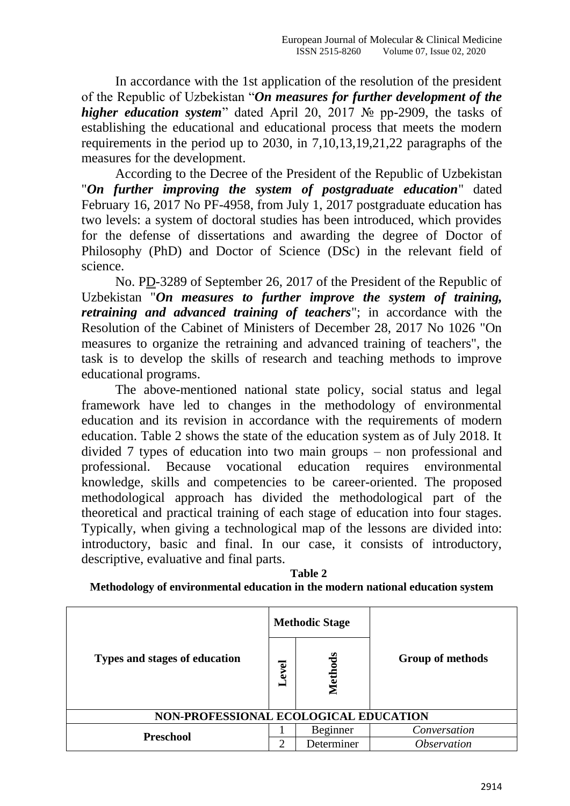In accordance with the 1st application of the resolution of the president of the Republic of Uzbekistan "On measures for further development of the *higher education system*" dated April 20, 2017 № pp-2909, the tasks of establishing the educational and educational process that meets the modern requirements in the period up to 2030, in 7,10,13,19,21,22 paragraphs of the measures for the development.

According to the Decree of the President of the Republic of Uzbekistan "*On further improving the system of postgraduate education*" dated February 16, 2017 No PF-4958, from July 1, 2017 postgraduate education has two levels: a system of doctoral studies has been introduced, which provides for the defense of dissertations and awarding the degree of Doctor of Philosophy (PhD) and Doctor of Science (DSc) in the relevant field of science.

No. PD-3289 of September 26, 2017 of the President of the Republic of Uzbekistan "*On measures to further improve the system of training, retraining and advanced training of teachers*"; in accordance with the Resolution of the Cabinet of Ministers of December 28, 2017 No 1026 "On measures to organize the retraining and advanced training of teachers", the task is to develop the skills of research and teaching methods to improve educational programs.

The above-mentioned national state policy, social status and legal framework have led to changes in the methodology of environmental education and its revision in accordance with the requirements of modern education. Table 2 shows the state of the education system as of July 2018. It divided 7 types of education into two main groups – non professional and professional. Because vocational education requires environmental knowledge, skills and competencies to be career-oriented. The proposed methodological approach has divided the methodological part of the theoretical and practical training of each stage of education into four stages. Typically, when giving a technological map of the lessons are divided into: introductory, basic and final. In our case, it consists of introductory, descriptive, evaluative and final parts.

| Table 2                                                                        |
|--------------------------------------------------------------------------------|
| Methodology of environmental education in the modern national education system |

| Types and stages of education         |  | <b>Methodic Stage</b> |                           |  |
|---------------------------------------|--|-----------------------|---------------------------|--|
|                                       |  | ಕೆ<br>Meth            | <b>Group of methods</b>   |  |
| NON-PROFESSIONAL ECOLOGICAL EDUCATION |  |                       |                           |  |
| <b>Preschool</b>                      |  | Beginner              | Conversation              |  |
|                                       |  | Determiner            | <i><b>Observation</b></i> |  |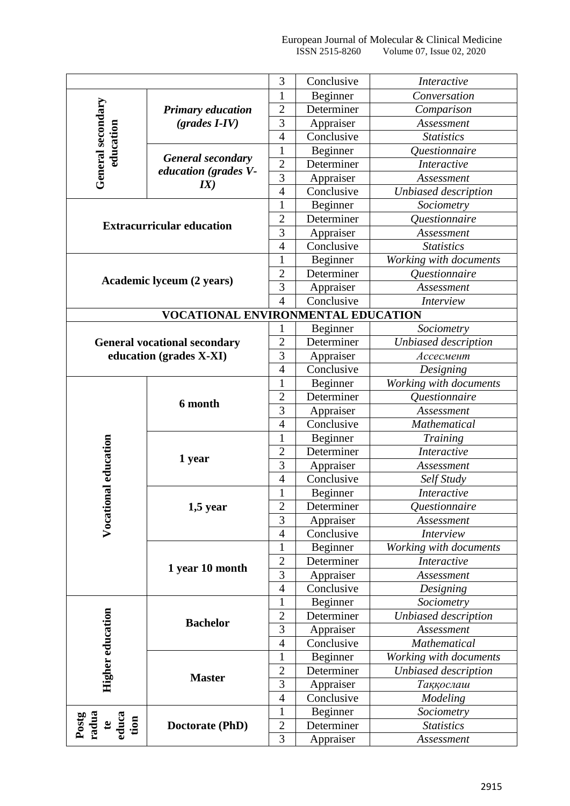|                                                                |                                    | 3                | Conclusive | Interactive                        |  |
|----------------------------------------------------------------|------------------------------------|------------------|------------|------------------------------------|--|
| General secondary<br>education                                 |                                    | 1                | Beginner   | Conversation                       |  |
|                                                                | <b>Primary education</b>           | $\overline{2}$   | Determiner | Comparison                         |  |
|                                                                | $(grades I-IV)$                    | 3                | Appraiser  | Assessment                         |  |
|                                                                |                                    | $\overline{4}$   | Conclusive | <b>Statistics</b>                  |  |
|                                                                |                                    | $\mathbf{1}$     | Beginner   | Questionnaire                      |  |
|                                                                | <b>General secondary</b>           | $\overline{2}$   | Determiner | <b>Interactive</b>                 |  |
|                                                                | education (grades V-               | $\overline{3}$   | Appraiser  | Assessment                         |  |
|                                                                | IX)                                | $\overline{4}$   | Conclusive | Unbiased description               |  |
|                                                                |                                    | 1                | Beginner   | Sociometry                         |  |
|                                                                |                                    | $\overline{2}$   | Determiner | Questionnaire                      |  |
|                                                                | <b>Extracurricular education</b>   | $\overline{3}$   | Appraiser  | Assessment                         |  |
|                                                                |                                    | $\overline{4}$   | Conclusive | <b>Statistics</b>                  |  |
|                                                                |                                    | $\mathbf{1}$     | Beginner   | Working with documents             |  |
|                                                                |                                    | $\overline{2}$   | Determiner | <i><u><b>Ouestionnaire</b></u></i> |  |
|                                                                | <b>Academic lyceum (2 years)</b>   | 3                | Appraiser  | Assessment                         |  |
|                                                                |                                    | $\overline{4}$   | Conclusive | <i>Interview</i>                   |  |
|                                                                | VOCATIONAL ENVIRONMENTAL EDUCATION |                  |            |                                    |  |
|                                                                |                                    | 1                | Beginner   | Sociometry                         |  |
| <b>General vocational secondary</b><br>education (grades X-XI) |                                    | $\overline{2}$   | Determiner | Unbiased description               |  |
|                                                                |                                    | 3                | Appraiser  | Ассесмент                          |  |
|                                                                |                                    | $\overline{4}$   | Conclusive | Designing                          |  |
|                                                                |                                    | $\mathbf{1}$     | Beginner   | Working with documents             |  |
|                                                                |                                    | $\overline{2}$   | Determiner | Questionnaire                      |  |
|                                                                | 6 month                            | 3                | Appraiser  | Assessment                         |  |
|                                                                |                                    | $\overline{4}$   | Conclusive | Mathematical                       |  |
|                                                                |                                    | $\mathbf{1}$     | Beginner   | <b>Training</b>                    |  |
|                                                                |                                    | $\mathfrak{2}$   | Determiner | <b>Interactive</b>                 |  |
|                                                                | 1 year                             | 3                | Appraiser  | Assessment                         |  |
|                                                                |                                    | $\overline{4}$   | Conclusive | Self Study                         |  |
| nal education                                                  |                                    | $\mathbf{1}$     | Beginner   | Interactive                        |  |
|                                                                | $1,5$ year                         | $\boldsymbol{2}$ | Determiner | Questionnaire                      |  |
|                                                                |                                    | 3                | Appraiser  | Assessment                         |  |
| Vocatio                                                        |                                    | $\overline{4}$   | Conclusive | <b>Interview</b>                   |  |
|                                                                |                                    | $\mathbf{1}$     | Beginner   | Working with documents             |  |
|                                                                | 1 year 10 month                    | $\overline{2}$   | Determiner | <b>Interactive</b>                 |  |
|                                                                |                                    | $\overline{3}$   | Appraiser  | Assessment                         |  |
|                                                                |                                    | $\overline{4}$   | Conclusive | Designing                          |  |
|                                                                |                                    | $\mathbf{1}$     | Beginner   | Sociometry                         |  |
| Higher education                                               | <b>Bachelor</b>                    | $\overline{c}$   | Determiner | Unbiased description               |  |
|                                                                |                                    | 3                | Appraiser  | Assessment                         |  |
|                                                                |                                    | $\overline{4}$   | Conclusive | Mathematical                       |  |
|                                                                |                                    | 1                | Beginner   | Working with documents             |  |
|                                                                |                                    | $\mathfrak{2}$   | Determiner | Unbiased description               |  |
|                                                                | <b>Master</b>                      | 3                | Appraiser  | Таққослаш                          |  |
|                                                                |                                    | $\overline{4}$   | Conclusive |                                    |  |
|                                                                |                                    |                  |            | Modeling                           |  |
|                                                                | Doctorate (PhD)                    | $\mathbf{1}$     | Beginner   | Sociometry                         |  |
| Postg<br>radua<br>educa<br>tion<br>$\mathbf{e}$                |                                    | $\sqrt{2}$       | Determiner | <b>Statistics</b>                  |  |
|                                                                |                                    | 3                | Appraiser  | Assessment                         |  |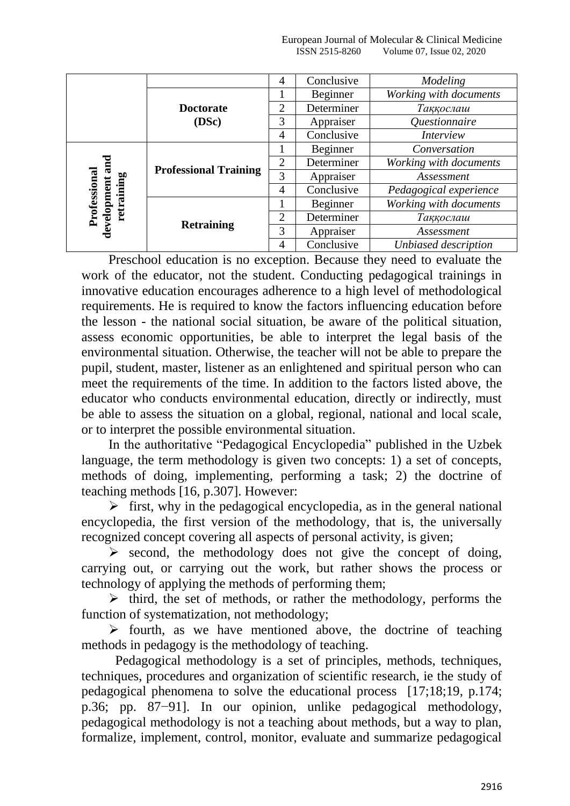#### European Journal of Molecular & Clinical Medicine ISSN 2515-8260 Volume 07, Issue 02, 2020

|                                                  |                              | 4              | Conclusive | Modeling               |  |
|--------------------------------------------------|------------------------------|----------------|------------|------------------------|--|
|                                                  |                              |                | Beginner   | Working with documents |  |
|                                                  | <b>Doctorate</b><br>(DSc)    | 2              | Determiner | Таққослаш              |  |
|                                                  |                              | 3              | Appraiser  | Questionnaire          |  |
|                                                  |                              | 4              | Conclusive | <i>Interview</i>       |  |
| and<br>Professional<br>retraining<br>development | <b>Professional Training</b> |                | Beginner   | Conversation           |  |
|                                                  |                              | 2              | Determiner | Working with documents |  |
|                                                  |                              | 3              | Appraiser  | Assessment             |  |
|                                                  |                              | 4              | Conclusive | Pedagogical experience |  |
|                                                  |                              |                | Beginner   | Working with documents |  |
|                                                  |                              | $\overline{2}$ | Determiner | Таққослаш              |  |
|                                                  | <b>Retraining</b>            | 3              | Appraiser  | Assessment             |  |
|                                                  |                              | 4              | Conclusive | Unbiased description   |  |

Preschool education is no exception. Because they need to evaluate the work of the educator, not the student. Conducting pedagogical trainings in innovative education encourages adherence to a high level of methodological requirements. He is required to know the factors influencing education before the lesson - the national social situation, be aware of the political situation, assess economic opportunities, be able to interpret the legal basis of the environmental situation. Otherwise, the teacher will not be able to prepare the pupil, student, master, listener as an enlightened and spiritual person who can meet the requirements of the time. In addition to the factors listed above, the educator who conducts environmental education, directly or indirectly, must be able to assess the situation on a global, regional, national and local scale, or to interpret the possible environmental situation.

In the authoritative "Pedagogical Encyclopedia" published in the Uzbek language, the term methodology is given two concepts: 1) a set of concepts, methods of doing, implementing, performing a task; 2) the doctrine of teaching methods [16, p.307]. However:

 $\triangleright$  first, why in the pedagogical encyclopedia, as in the general national encyclopedia, the first version of the methodology, that is, the universally recognized concept covering all aspects of personal activity, is given;

 $\triangleright$  second, the methodology does not give the concept of doing, carrying out, or carrying out the work, but rather shows the process or technology of applying the methods of performing them;

 $\triangleright$  third, the set of methods, or rather the methodology, performs the function of systematization, not methodology;

 $\triangleright$  fourth, as we have mentioned above, the doctrine of teaching methods in pedagogy is the methodology of teaching.

Pedagogical methodology is a set of principles, methods, techniques, techniques, procedures and organization of scientific research, ie the study of pedagogical phenomena to solve the educational process [17;18;19, p.174; p.36; pp. 87−91]. In our opinion, unlike pedagogical methodology, pedagogical methodology is not a teaching about methods, but a way to plan, formalize, implement, control, monitor, evaluate and summarize pedagogical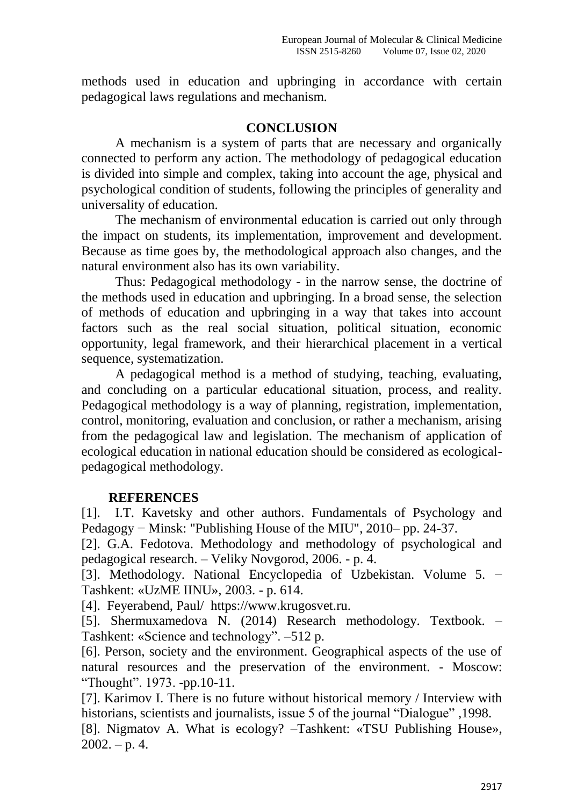methods used in education and upbringing in accordance with certain pedagogical laws regulations and mechanism.

# **CONCLUSION**

A mechanism is a system of parts that are necessary and organically connected to perform any action. The methodology of pedagogical education is divided into simple and complex, taking into account the age, physical and psychological condition of students, following the principles of generality and universality of education.

The mechanism of environmental education is carried out only through the impact on students, its implementation, improvement and development. Because as time goes by, the methodological approach also changes, and the natural environment also has its own variability.

Thus: Pedagogical methodology - in the narrow sense, the doctrine of the methods used in education and upbringing. In a broad sense, the selection of methods of education and upbringing in a way that takes into account factors such as the real social situation, political situation, economic opportunity, legal framework, and their hierarchical placement in a vertical sequence, systematization.

A pedagogical method is a method of studying, teaching, evaluating, and concluding on a particular educational situation, process, and reality. Pedagogical methodology is a way of planning, registration, implementation, control, monitoring, evaluation and conclusion, or rather a mechanism, arising from the pedagogical law and legislation. The mechanism of application of ecological education in national education should be considered as ecologicalpedagogical methodology.

# **REFERENCES**

[1]. I.T. Kavetsky and other authors. Fundamentals of Psychology and Pedagogy – Minsk: "Publishing House of the MIU", 2010– pp. 24-37.

[2]. G.A. Fedotova. Methodology and methodology of psychological and pedagogical research. – Veliky Novgorod, 2006. - p. 4.

[3]. Methodology. National Encyclopedia of Uzbekistan. Volume 5. − Tashkent: «UzME IINU», 2003. - p. 614.

[4]. Feyerabend, Paul/ https://www.krugosvet.ru.

[5]. Shermuxamedova N. (2014) Research methodology. Textbook. – Tashkent: «Science and technology". –512 p.

[6]. Person, society and the environment. Geographical aspects of the use of natural resources and the preservation of the environment. - Moscow: ―Thought‖. 1973. -pp.10-11.

[7]. Karimov I. There is no future without historical memory / Interview with historians, scientists and journalists, issue 5 of the journal "Dialogue", 1998.

[8]. Nigmatov A. What is ecology? –Tashkent: «TSU Publishing House»,  $2002. - p. 4.$